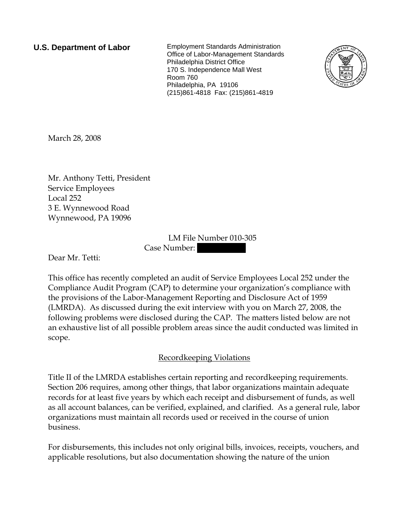**U.S. Department of Labor** Employment Standards Administration Office of Labor-Management Standards Philadelphia District Office 170 S. Independence Mall West Room 760 Philadelphia, PA 19106 (215)861-4818 Fax: (215)861-4819



March 28, 2008

Mr. Anthony Tetti, President Service Employees Local 252 3 E. Wynnewood Road Wynnewood, PA 19096

> LM File Number 010-305 Case Number:

Dear Mr. Tetti:

This office has recently completed an audit of Service Employees Local 252 under the Compliance Audit Program (CAP) to determine your organization's compliance with the provisions of the Labor-Management Reporting and Disclosure Act of 1959 (LMRDA). As discussed during the exit interview with you on March 27, 2008, the following problems were disclosed during the CAP. The matters listed below are not an exhaustive list of all possible problem areas since the audit conducted was limited in scope.

## Recordkeeping Violations

Title II of the LMRDA establishes certain reporting and recordkeeping requirements. Section 206 requires, among other things, that labor organizations maintain adequate records for at least five years by which each receipt and disbursement of funds, as well as all account balances, can be verified, explained, and clarified. As a general rule, labor organizations must maintain all records used or received in the course of union business.

For disbursements, this includes not only original bills, invoices, receipts, vouchers, and applicable resolutions, but also documentation showing the nature of the union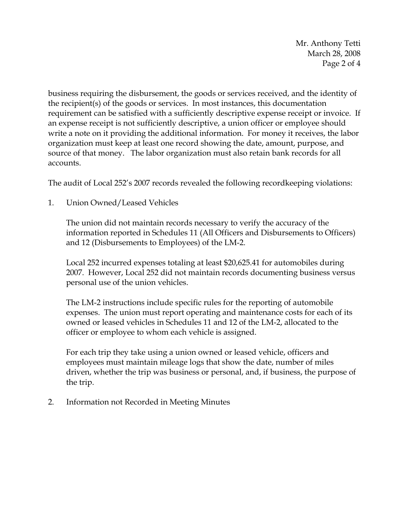Mr. Anthony Tetti March 28, 2008 Page 2 of 4

business requiring the disbursement, the goods or services received, and the identity of the recipient(s) of the goods or services. In most instances, this documentation requirement can be satisfied with a sufficiently descriptive expense receipt or invoice. If an expense receipt is not sufficiently descriptive, a union officer or employee should write a note on it providing the additional information. For money it receives, the labor organization must keep at least one record showing the date, amount, purpose, and source of that money. The labor organization must also retain bank records for all accounts.

The audit of Local 252's 2007 records revealed the following recordkeeping violations:

1. Union Owned/Leased Vehicles

The union did not maintain records necessary to verify the accuracy of the information reported in Schedules 11 (All Officers and Disbursements to Officers) and 12 (Disbursements to Employees) of the LM-2.

Local 252 incurred expenses totaling at least \$20,625.41 for automobiles during 2007. However, Local 252 did not maintain records documenting business versus personal use of the union vehicles.

The LM-2 instructions include specific rules for the reporting of automobile expenses. The union must report operating and maintenance costs for each of its owned or leased vehicles in Schedules 11 and 12 of the LM-2, allocated to the officer or employee to whom each vehicle is assigned.

For each trip they take using a union owned or leased vehicle, officers and employees must maintain mileage logs that show the date, number of miles driven, whether the trip was business or personal, and, if business, the purpose of the trip.

2. Information not Recorded in Meeting Minutes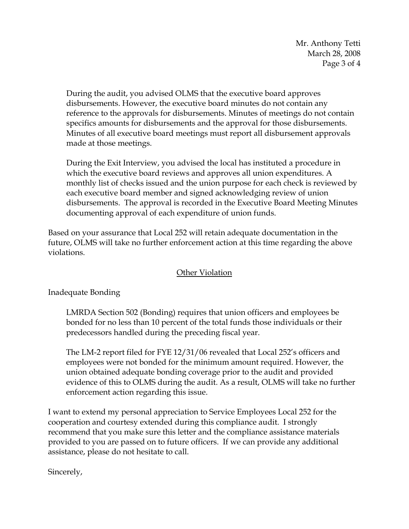Mr. Anthony Tetti March 28, 2008 Page 3 of 4

During the audit, you advised OLMS that the executive board approves disbursements. However, the executive board minutes do not contain any reference to the approvals for disbursements. Minutes of meetings do not contain specifics amounts for disbursements and the approval for those disbursements. Minutes of all executive board meetings must report all disbursement approvals made at those meetings.

During the Exit Interview, you advised the local has instituted a procedure in which the executive board reviews and approves all union expenditures. A monthly list of checks issued and the union purpose for each check is reviewed by each executive board member and signed acknowledging review of union disbursements. The approval is recorded in the Executive Board Meeting Minutes documenting approval of each expenditure of union funds.

Based on your assurance that Local 252 will retain adequate documentation in the future, OLMS will take no further enforcement action at this time regarding the above violations.

## Other Violation

Inadequate Bonding

LMRDA Section 502 (Bonding) requires that union officers and employees be bonded for no less than 10 percent of the total funds those individuals or their predecessors handled during the preceding fiscal year.

The LM-2 report filed for FYE 12/31/06 revealed that Local 252's officers and employees were not bonded for the minimum amount required. However, the union obtained adequate bonding coverage prior to the audit and provided evidence of this to OLMS during the audit. As a result, OLMS will take no further enforcement action regarding this issue.

I want to extend my personal appreciation to Service Employees Local 252 for the cooperation and courtesy extended during this compliance audit. I strongly recommend that you make sure this letter and the compliance assistance materials provided to you are passed on to future officers. If we can provide any additional assistance, please do not hesitate to call.

Sincerely,